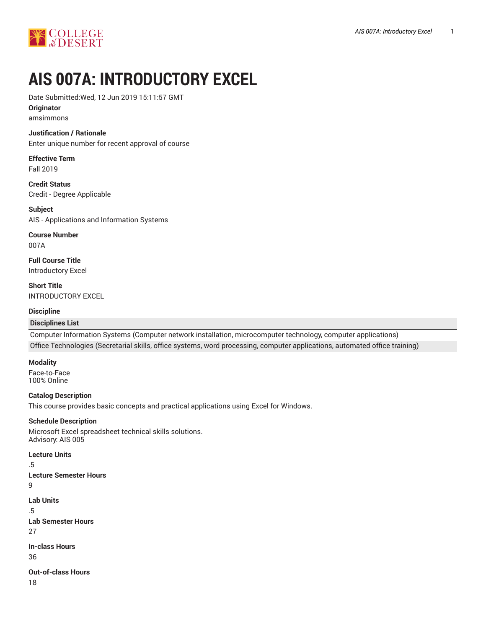

# **AIS 007A: INTRODUCTORY EXCEL**

Date Submitted:Wed, 12 Jun 2019 15:11:57 GMT

## **Originator**

amsimmons

## **Justification / Rationale**

Enter unique number for recent approval of course

#### **Effective Term** Fall 2019

**Credit Status** Credit - Degree Applicable

**Subject** AIS - Applications and Information Systems

**Course Number** 007A

**Full Course Title** Introductory Excel

**Short Title** INTRODUCTORY EXCEL

## **Discipline**

## **Disciplines List**

Computer Information Systems (Computer network installation, microcomputer technology, computer applications) Office Technologies (Secretarial skills, office systems, word processing, computer applications, automated office training)

#### **Modality**

Face-to-Face 100% Online

## **Catalog Description**

This course provides basic concepts and practical applications using Excel for Windows.

#### **Schedule Description**

Microsoft Excel spreadsheet technical skills solutions. Advisory: AIS 005

#### **Lecture Units**

.5

**Lecture Semester Hours**

9

**Lab Units**

.5

- **Lab Semester Hours**
- 27

**In-class Hours**

36

**Out-of-class Hours**

18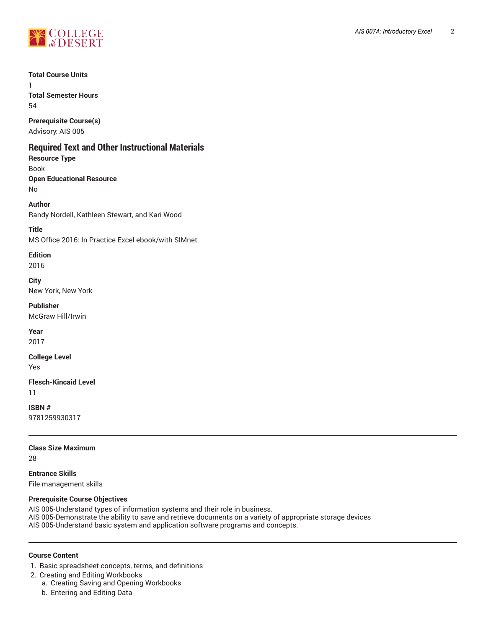

**Total Course Units**

1 **Total Semester Hours** 54

**Prerequisite Course(s)** Advisory: AIS 005

# **Required Text and Other Instructional Materials**

**Resource Type** Book **Open Educational Resource** No

**Author** Randy Nordell, Kathleen Stewart, and Kari Wood

**Title** MS Office 2016: In Practice Excel ebook/with SIMnet

## **Edition**

2016

**City** New York, New York

**Publisher** McGraw Hill/Irwin

**Year** 2017

**College Level**

Yes

**Flesch-Kincaid Level** 11

**ISBN #** 9781259930317

**Class Size Maximum** 28

**Entrance Skills** File management skills

## **Prerequisite Course Objectives**

AIS 005-Understand types of information systems and their role in business. AIS 005-Demonstrate the ability to save and retrieve documents on a variety of appropriate storage devices AIS 005-Understand basic system and application software programs and concepts.

## **Course Content**

1. Basic spreadsheet concepts, terms, and definitions

- 2. Creating and Editing Workbooks
	- a. Creating Saving and Opening Workbooks
	- b. Entering and Editing Data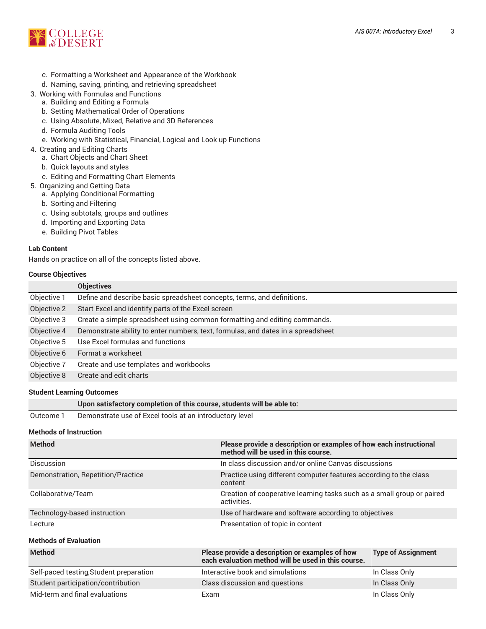

- c. Formatting a Worksheet and Appearance of the Workbook
- d. Naming, saving, printing, and retrieving spreadsheet
- 3. Working with Formulas and Functions
	- a. Building and Editing a Formula
	- b. Setting Mathematical Order of Operations
	- c. Using Absolute, Mixed, Relative and 3D References
	- d. Formula Auditing Tools
	- e. Working with Statistical, Financial, Logical and Look up Functions
- 4. Creating and Editing Charts
	- a. Chart Objects and Chart Sheet
	- b. Quick layouts and styles
	- c. Editing and Formatting Chart Elements
- 5. Organizing and Getting Data
	- a. Applying Conditional Formatting
	- b. Sorting and Filtering
	- c. Using subtotals, groups and outlines
	- d. Importing and Exporting Data
	- e. Building Pivot Tables

## **Lab Content**

Hands on practice on all of the concepts listed above.

#### **Course Objectives**

|             | <b>Objectives</b>                                                                |
|-------------|----------------------------------------------------------------------------------|
| Objective 1 | Define and describe basic spreadsheet concepts, terms, and definitions.          |
| Objective 2 | Start Excel and identify parts of the Excel screen                               |
| Objective 3 | Create a simple spreadsheet using common formatting and editing commands.        |
| Objective 4 | Demonstrate ability to enter numbers, text, formulas, and dates in a spreadsheet |
| Objective 5 | Use Excel formulas and functions                                                 |
| Objective 6 | Format a worksheet                                                               |
| Objective 7 | Create and use templates and workbooks                                           |
| Objective 8 | Create and edit charts                                                           |

## **Student Learning Outcomes**

|                               | Upon satisfactory completion of this course, students will be able to: |  |  |
|-------------------------------|------------------------------------------------------------------------|--|--|
| Outcome 1                     | Demonstrate use of Excel tools at an introductory level                |  |  |
| <b>Methods of Instruction</b> |                                                                        |  |  |

| <b>Method</b>                      | Please provide a description or examples of how each instructional<br>method will be used in this course. |
|------------------------------------|-----------------------------------------------------------------------------------------------------------|
| <b>Discussion</b>                  | In class discussion and/or online Canvas discussions                                                      |
| Demonstration, Repetition/Practice | Practice using different computer features according to the class<br>content                              |
| Collaborative/Team                 | Creation of cooperative learning tasks such as a small group or paired<br>activities.                     |
| Technology-based instruction       | Use of hardware and software according to objectives                                                      |
| Lecture                            | Presentation of topic in content                                                                          |
| <b>Methods of Evaluation</b>       |                                                                                                           |

| <b>Method</b>                           | Please provide a description or examples of how<br>each evaluation method will be used in this course. | <b>Type of Assignment</b> |
|-----------------------------------------|--------------------------------------------------------------------------------------------------------|---------------------------|
| Self-paced testing, Student preparation | Interactive book and simulations                                                                       | In Class Only             |
| Student participation/contribution      | Class discussion and questions                                                                         | In Class Only             |
| Mid-term and final evaluations          | Exam                                                                                                   | In Class Only             |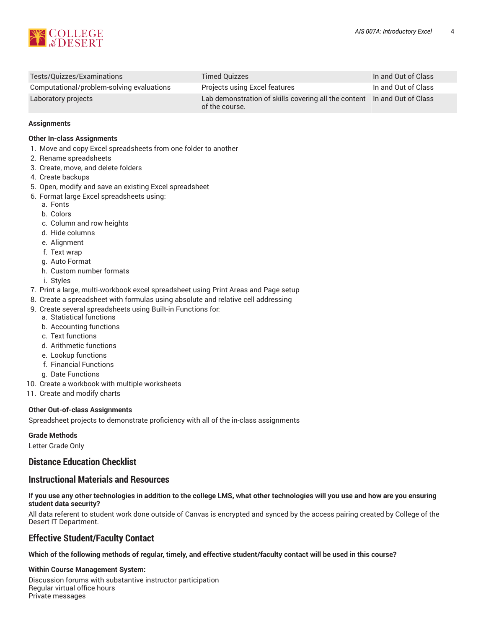

| Tests/Quizzes/Examinations                | Timed Quizzes                                                                              | In and Out of Class |
|-------------------------------------------|--------------------------------------------------------------------------------------------|---------------------|
| Computational/problem-solving evaluations | Projects using Excel features                                                              | In and Out of Class |
| Laboratory projects                       | Lab demonstration of skills covering all the content In and Out of Class<br>of the course. |                     |

#### **Assignments**

#### **Other In-class Assignments**

- 1. Move and copy Excel spreadsheets from one folder to another
- 2. Rename spreadsheets
- 3. Create, move, and delete folders
- 4. Create backups
- 5. Open, modify and save an existing Excel spreadsheet
- 6. Format large Excel spreadsheets using:
	- a. Fonts
	- b. Colors
	- c. Column and row heights
	- d. Hide columns
	- e. Alignment
	- f. Text wrap
	- g. Auto Format
	- h. Custom number formats
	- i. Styles
- 7. Print a large, multi-workbook excel spreadsheet using Print Areas and Page setup
- 8. Create a spreadsheet with formulas using absolute and relative cell addressing
- 9. Create several spreadsheets using Built-in Functions for:
	- a. Statistical functions
	- b. Accounting functions
	- c. Text functions
	- d. Arithmetic functions
	- e. Lookup functions
	- f. Financial Functions
	- g. Date Functions
- 10. Create a workbook with multiple worksheets
- 11. Create and modify charts

## **Other Out-of-class Assignments**

Spreadsheet projects to demonstrate proficiency with all of the in-class assignments

#### **Grade Methods**

Letter Grade Only

# **Distance Education Checklist**

# **Instructional Materials and Resources**

## If you use any other technologies in addition to the college LMS, what other technologies will you use and how are you ensuring **student data security?**

All data referent to student work done outside of Canvas is encrypted and synced by the access pairing created by College of the Desert IT Department.

# **Effective Student/Faculty Contact**

## Which of the following methods of regular, timely, and effective student/faculty contact will be used in this course?

## **Within Course Management System:**

Discussion forums with substantive instructor participation Regular virtual office hours Private messages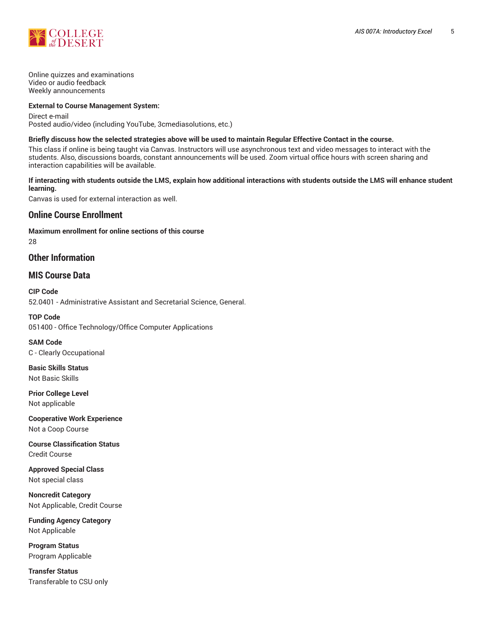

Online quizzes and examinations Video or audio feedback Weekly announcements

#### **External to Course Management System:**

Direct e-mail Posted audio/video (including YouTube, 3cmediasolutions, etc.)

#### Briefly discuss how the selected strategies above will be used to maintain Regular Effective Contact in the course.

This class if online is being taught via Canvas. Instructors will use asynchronous text and video messages to interact with the students. Also, discussions boards, constant announcements will be used. Zoom virtual office hours with screen sharing and interaction capabilities will be available.

#### **If interacting with students outside the LMS, explain how additional interactions with students outside the LMS will enhance student learning.**

Canvas is used for external interaction as well.

# **Online Course Enrollment**

**Maximum enrollment for online sections of this course** 28

## **Other Information**

# **MIS Course Data**

**CIP Code** 52.0401 - Administrative Assistant and Secretarial Science, General.

**TOP Code** 051400 - Office Technology/Office Computer Applications

**SAM Code** C - Clearly Occupational

**Basic Skills Status** Not Basic Skills

**Prior College Level** Not applicable

**Cooperative Work Experience** Not a Coop Course

**Course Classification Status** Credit Course

**Approved Special Class** Not special class

**Noncredit Category** Not Applicable, Credit Course

**Funding Agency Category** Not Applicable

**Program Status** Program Applicable

**Transfer Status** Transferable to CSU only